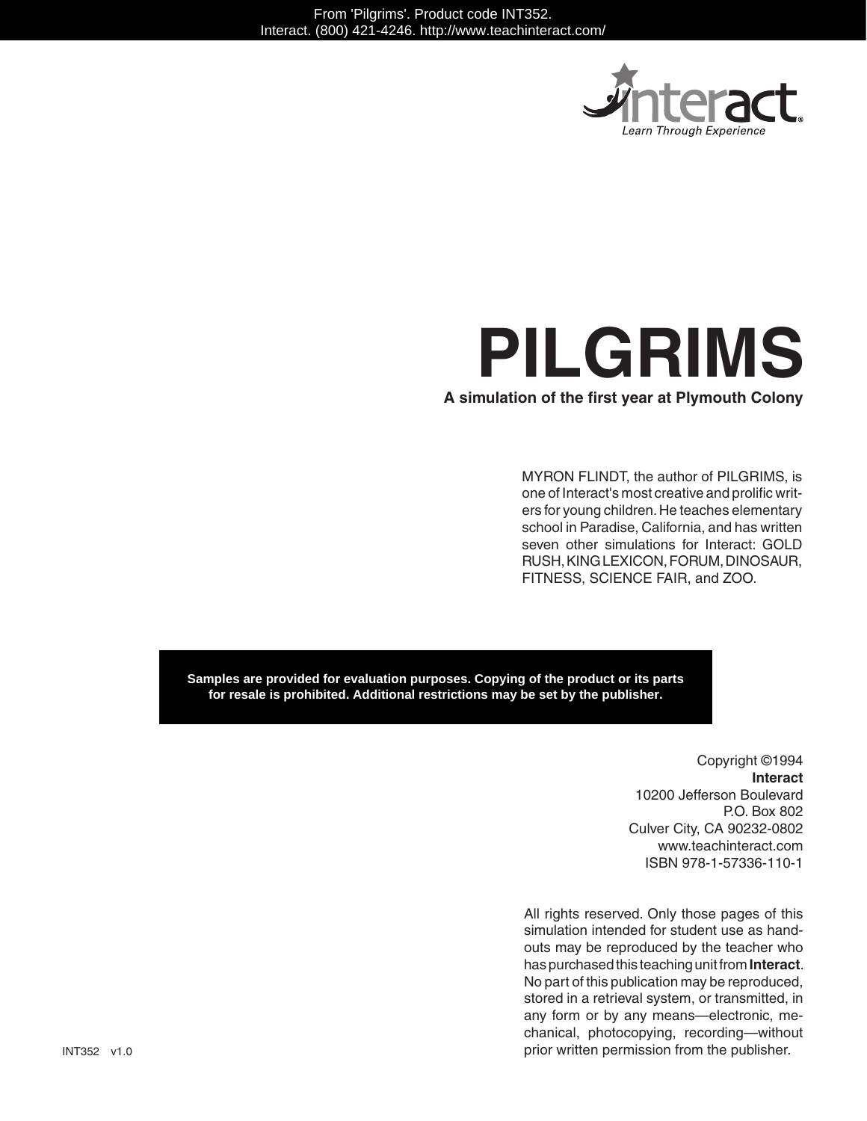

# **PILGRIMS**

**A simulation of the first year at Plymouth Colony**

MYRON FLINDT, the author of PILGRIMS, is one of Interact's most creative and prolific writers for young children. He teaches elementary school in Paradise, California, and has written seven other simulations for Interact: GOLD RUSH, KING LEXICON, FORUM, DINOSAUR, FITNESS, SCIENCE FAIR, and ZOO.

**Samples are provided for evaluation purposes. Copying of the product or its parts for resale is prohibited. Additional restrictions may be set by the publisher.**

> Copyright ©1994 **Interact** 10200 Jefferson Boulevard P.O. Box 802 Culver City, CA 90232-0802 www.teachinteract.com ISBN 978-1-57336-110-1

All rights reserved. Only those pages of this simulation intended for student use as handouts may be reproduced by the teacher who has purchased this teaching unit from **Interact**. No part of this publication may be reproduced, stored in a retrieval system, or transmitted, in any form or by any means—electronic, mechanical, photocopying, recording—without prior written permission from the publisher.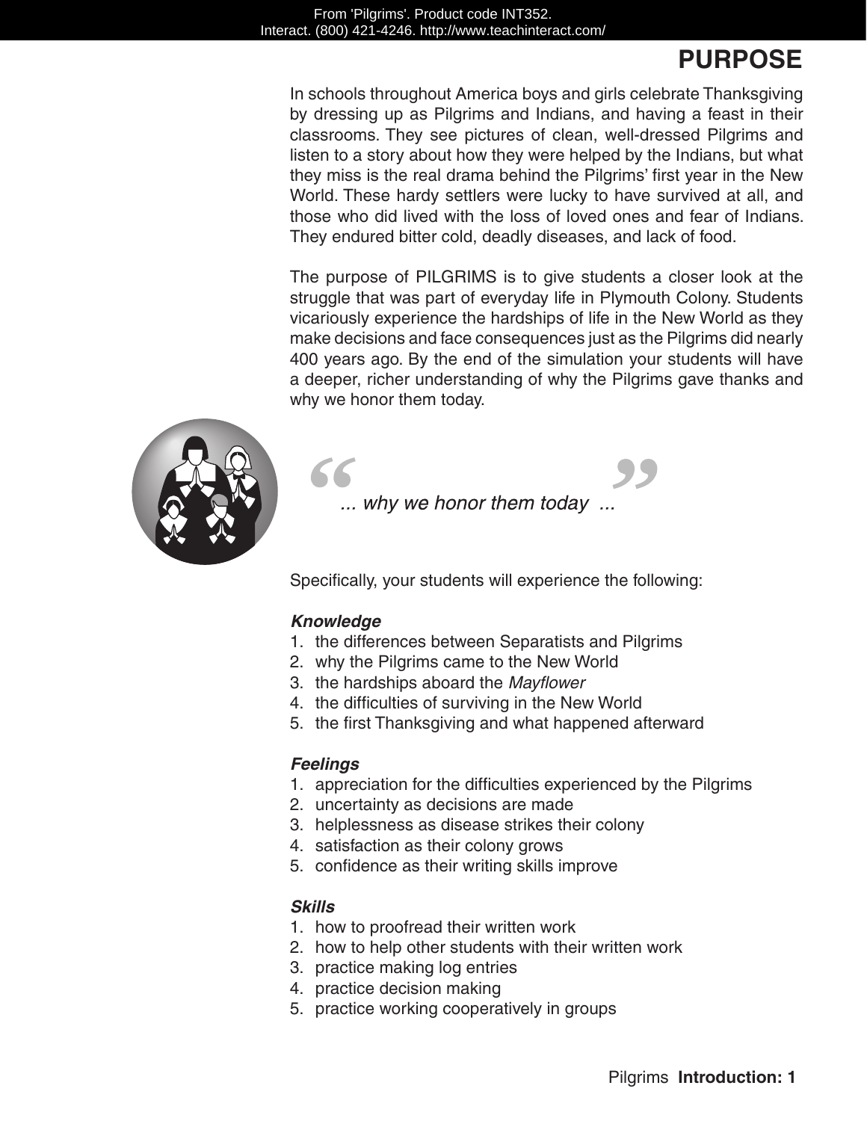# **PURPOSE**

In schools throughout America boys and girls celebrate Thanksgiving by dressing up as Pilgrims and Indians, and having a feast in their classrooms. They see pictures of clean, well-dressed Pilgrims and listen to a story about how they were helped by the Indians, but what they miss is the real drama behind the Pilgrims' first year in the New World. These hardy settlers were lucky to have survived at all, and those who did lived with the loss of loved ones and fear of Indians. They endured bitter cold, deadly diseases, and lack of food.

The purpose of PILGRIMS is to give students a closer look at the struggle that was part of everyday life in Plymouth Colony. Students vicariously experience the hardships of life in the New World as they make decisions and face consequences just as the Pilgrims did nearly 400 years ago. By the end of the simulation your students will have a deeper, richer understanding of why the Pilgrims gave thanks and why we honor them today.



... why we honor them today ...

Specifically, your students will experience the following:

#### *Knowledge*

- 1. the differences between Separatists and Pilgrims
- 2. why the Pilgrims came to the New World
- 3. the hardships aboard the *Mayflower*
- 4. the difficulties of surviving in the New World
- 5. the first Thanksgiving and what happened afterward

#### *Feelings*

- 1. appreciation for the difficulties experienced by the Pilgrims
- 2. uncertainty as decisions are made
- 3. helplessness as disease strikes their colony
- 4. satisfaction as their colony grows
- 5. confidence as their writing skills improve

#### *Skills*

- 1. how to proofread their written work
- 2. how to help other students with their written work
- 3. practice making log entries
- 4. practice decision making
- 5. practice working cooperatively in groups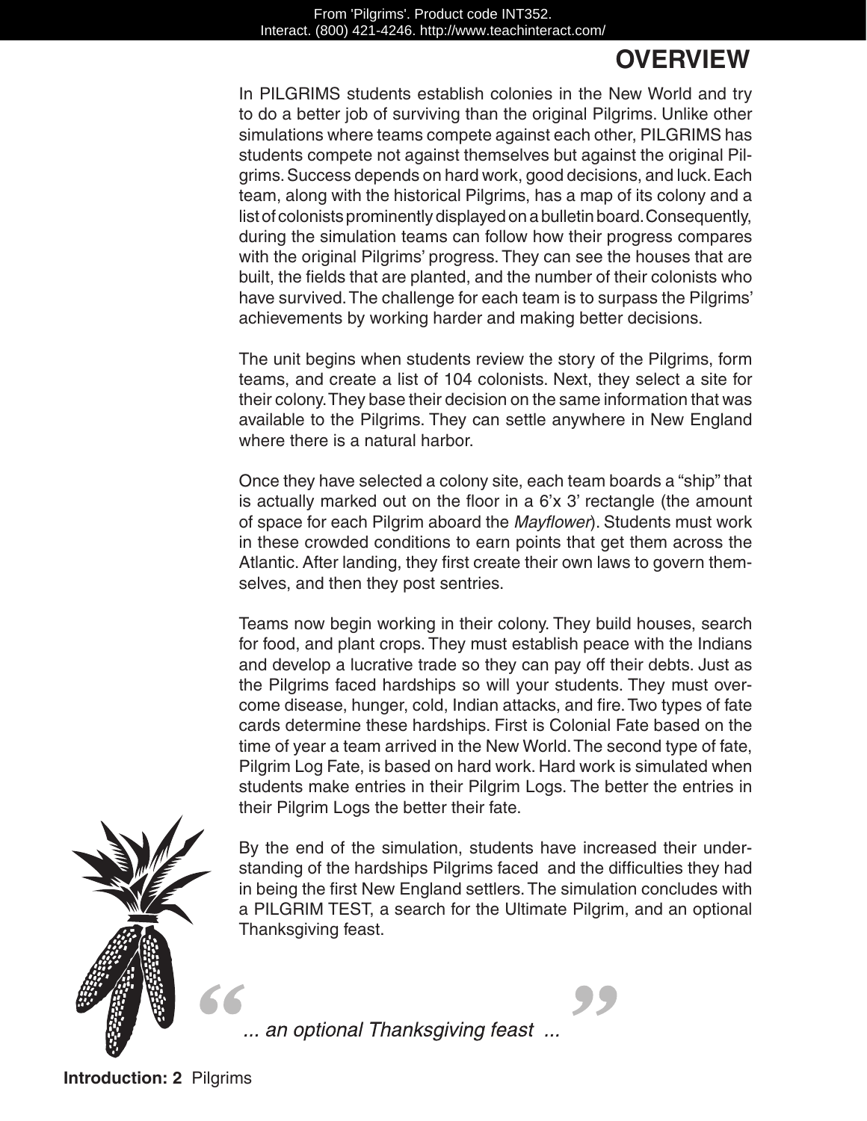## **OVERVIEW**

In PILGRIMS students establish colonies in the New World and try to do a better job of surviving than the original Pilgrims. Unlike other simulations where teams compete against each other, PILGRIMS has students compete not against themselves but against the original Pilgrims. Success depends on hard work, good decisions, and luck. Each team, along with the historical Pilgrims, has a map of its colony and a list of colonists prominently displayed on a bulletin board. Consequently, during the simulation teams can follow how their progress compares with the original Pilgrims' progress. They can see the houses that are built, the fields that are planted, and the number of their colonists who have survived. The challenge for each team is to surpass the Pilgrims' achievements by working harder and making better decisions.

The unit begins when students review the story of the Pilgrims, form teams, and create a list of 104 colonists. Next, they select a site for their colony. They base their decision on the same information that was available to the Pilgrims. They can settle anywhere in New England where there is a natural harbor.

Once they have selected a colony site, each team boards a "ship" that is actually marked out on the floor in a 6'x 3' rectangle (the amount of space for each Pilgrim aboard the *Mayflower*). Students must work in these crowded conditions to earn points that get them across the Atlantic. After landing, they first create their own laws to govern themselves, and then they post sentries.

Teams now begin working in their colony. They build houses, search for food, and plant crops. They must establish peace with the Indians and develop a lucrative trade so they can pay off their debts. Just as the Pilgrims faced hardships so will your students. They must overcome disease, hunger, cold, Indian attacks, and fire. Two types of fate cards determine these hardships. First is Colonial Fate based on the time of year a team arrived in the New World. The second type of fate, Pilgrim Log Fate, is based on hard work. Hard work is simulated when students make entries in their Pilgrim Logs. The better the entries in their Pilgrim Logs the better their fate.



By the end of the simulation, students have increased their understanding of the hardships Pilgrims faced and the difficulties they had in being the first New England settlers. The simulation concludes with a PILGRIM Test, a search for the Ultimate Pilgrim, and an optional Thanksgiving feast.

... an optional Thanksgiving feast ...

**Introduction: 2** Pilgrims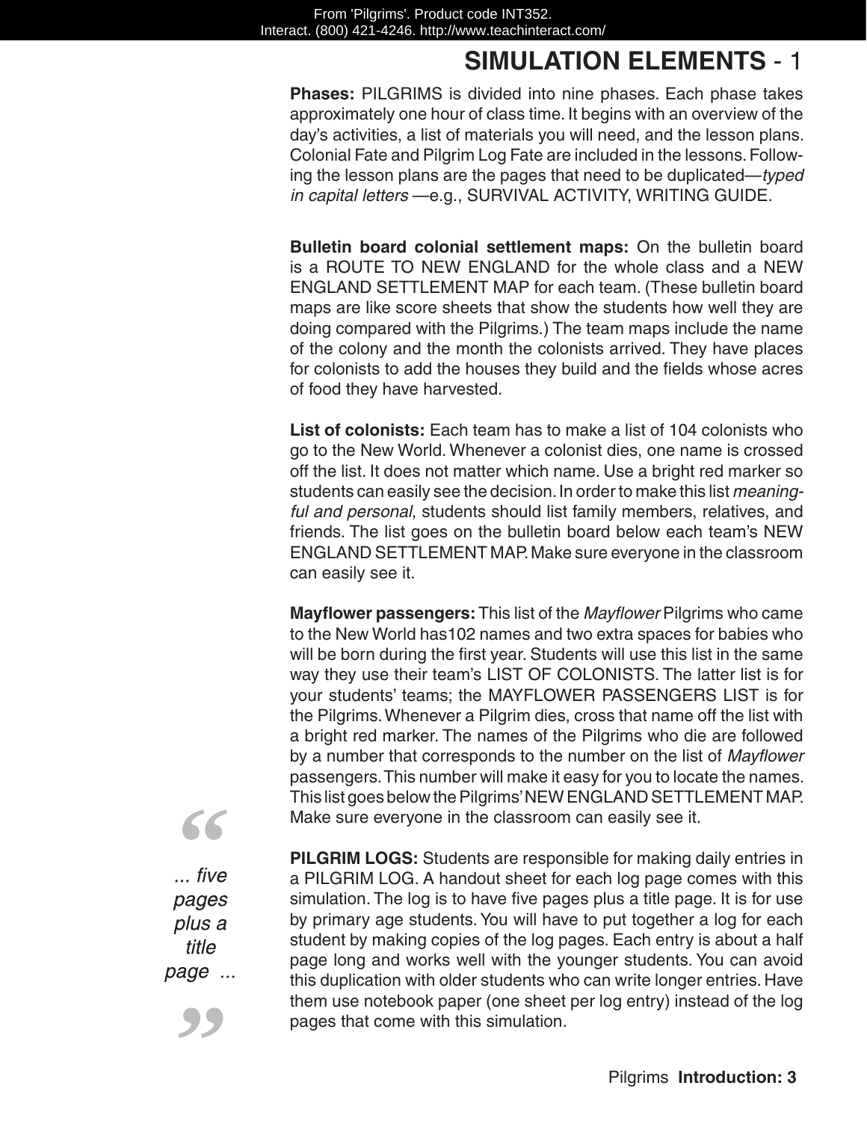**Phases:** PILGRIMS is divided into nine phases. Each phase takes approximately one hour of class time. It begins with an overview of the day's activities, a list of materials you will need, and the lesson plans. Colonial Fate and Pilgrim Log Fate are included in the lessons. Following the lesson plans are the pages that need to be duplicated—*typed in capital letters* —e.g., SURVIVAL ACTIVITY, WRITING GUIDE.

**Bulletin board colonial settlement maps:** On the bulletin board is a ROUTE TO NEW ENGLAND for the whole class and a NEW ENGLAND SETTLEMENT MAP for each team. (These bulletin board maps are like score sheets that show the students how well they are doing compared with the Pilgrims.) The team maps include the name of the colony and the month the colonists arrived. They have places for colonists to add the houses they build and the fields whose acres of food they have harvested.

**List of colonists:** Each team has to make a list of 104 colonists who go to the New World. Whenever a colonist dies, one name is crossed off the list. It does not matter which name. Use a bright red marker so students can easily see the decision. In order to make this list *meaningful and personal*, students should list family members, relatives, and friends. The list goes on the bulletin board below each team's NEW ENGLAND SETTLEMENT MAP. Make sure everyone in the classroom can easily see it.

**Mayflower passengers:** This list of the *Mayflower* Pilgrims who came to the New World has102 names and two extra spaces for babies who will be born during the first year. Students will use this list in the same way they use their team's LIST OF COLONISTS. The latter list is for your students' teams; the MAYFLOWER PASSENGERS LIST is for the Pilgrims. Whenever a Pilgrim dies, cross that name off the list with a bright red marker. The names of the Pilgrims who die are followed by a number that corresponds to the number on the list of *Mayflower* passengers. This number will make it easy for you to locate the names. This list goes below the Pilgrims' NEW ENGLAND SETTLEMENT MAP. Make sure everyone in the classroom can easily see it.

 $\ldots$  five pages plus a title page ...

55

**PILGRIM LOGS:** Students are responsible for making daily entries in a PILGRIM LOG. A handout sheet for each log page comes with this simulation. The log is to have five pages plus a title page. It is for use by primary age students. You will have to put together a log for each student by making copies of the log pages. Each entry is about a half page long and works well with the younger students. You can avoid this duplication with older students who can write longer entries. Have them use notebook paper (one sheet per log entry) instead of the log pages that come with this simulation.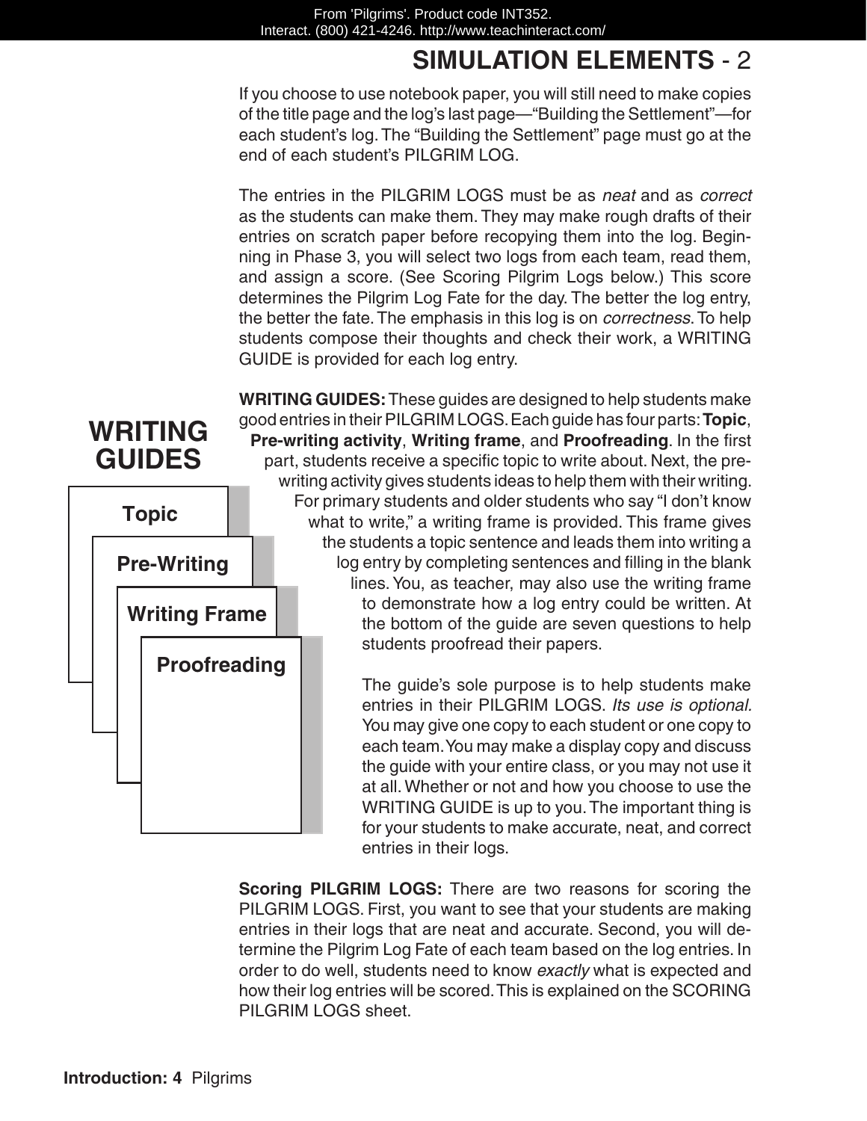If you choose to use notebook paper, you will still need to make copies of the title page and the log's last page—"Building the Settlement"—for each student's log. The "Building the Settlement" page must go at the end of each student's PILGRIM LOG.

The entries in the PILGRIM LOGS must be as *neat* and as *correct*  as the students can make them. They may make rough drafts of their entries on scratch paper before recopying them into the log. Beginning in Phase 3, you will select two logs from each team, read them, and assign a score. (See Scoring Pilgrim Logs below.) This score determines the Pilgrim Log Fate for the day. The better the log entry, the better the fate. The emphasis in this log is on *correctness*. To help students compose their thoughts and check their work, a WRITING GUIDE is provided for each log entry.

**GUIDES topic Pre-Writing Writing Frame Proofreading**

**WRITING** 

**WRITING GUIDES:**These guides are designed to help students make good entries in their PILGRIM LOGS. Each guide has four parts: **Topic**, **Pre-writing activity**, **Writing frame**, and **Proofreading**. In the first part, students receive a specific topic to write about. Next, the prewriting activity gives students ideas to help them with their writing. For primary students and older students who say "I don't know what to write," a writing frame is provided. This frame gives the students a topic sentence and leads them into writing a log entry by completing sentences and filling in the blank lines. You, as teacher, may also use the writing frame to demonstrate how a log entry could be written. At the bottom of the guide are seven questions to help students proofread their papers.

> The guide's sole purpose is to help students make entries in their PILGRIM LOGS. *Its use is optional.*  You may give one copy to each student or one copy to each team. You may make a display copy and discuss the guide with your entire class, or you may not use it at all. Whether or not and how you choose to use the WRITING GUIDE is up to you. The important thing is for your students to make accurate, neat, and correct entries in their logs.

**Scoring PILGRIM LOGS:** There are two reasons for scoring the PILGRIM LOGS. First, you want to see that your students are making entries in their logs that are neat and accurate. Second, you will determine the Pilgrim Log Fate of each team based on the log entries. In order to do well, students need to know *exactly* what is expected and how their log entries will be scored. This is explained on the SCORING PILGRIM LOGS sheet.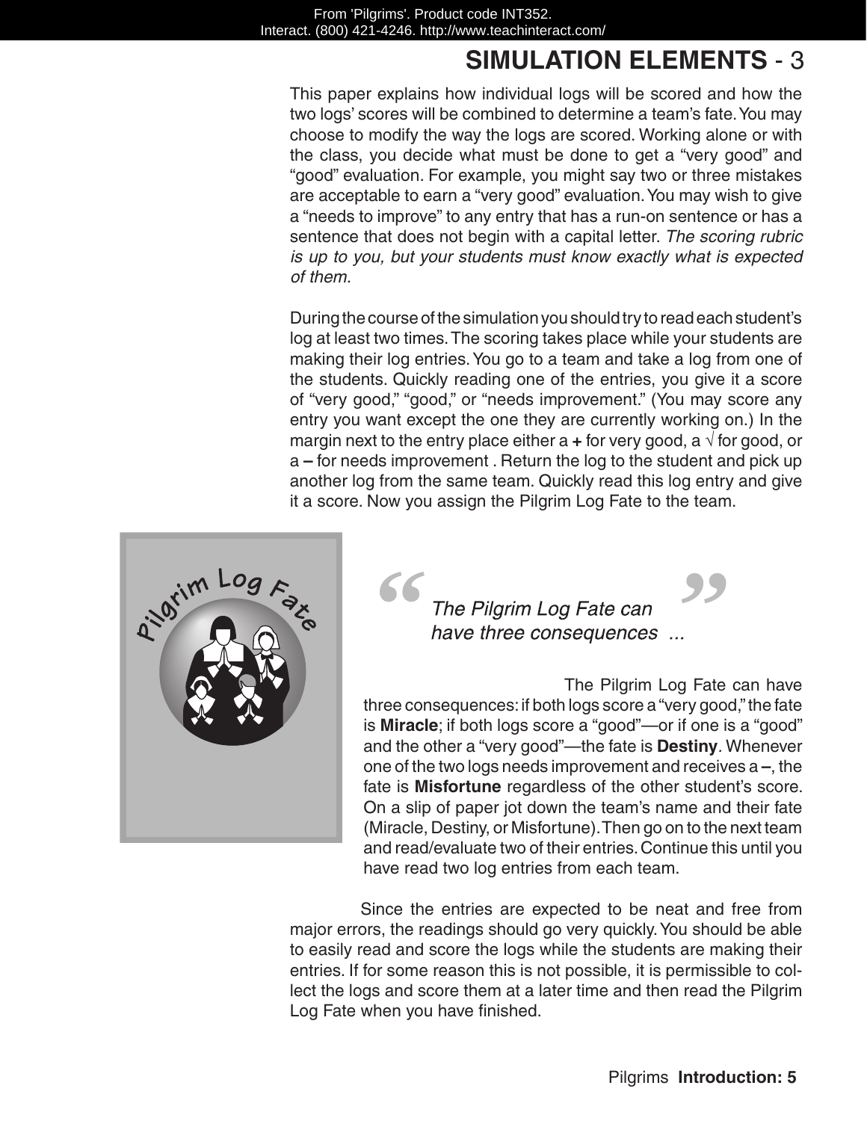This paper explains how individual logs will be scored and how the two logs' scores will be combined to determine a team's fate. You may choose to modify the way the logs are scored. Working alone or with the class, you decide what must be done to get a "very good" and "good" evaluation. For example, you might say two or three mistakes are acceptable to earn a "very good" evaluation. You may wish to give a "needs to improve" to any entry that has a run-on sentence or has a sentence that does not begin with a capital letter. *The scoring rubric is up to you, but your students must know exactly what is expected of them.*

During the course of the simulation you should try to read each student's log at least two times. The scoring takes place while your students are making their log entries. You go to a team and take a log from one of the students. Quickly reading one of the entries, you give it a score of "very good," "good," or "needs improvement." (You may score any entry you want except the one they are currently working on.) In the margin next to the entry place either a  $\pm$  for very good, a  $\sqrt{ }$  for good, or a **–** for needs improvement . Return the log to the student and pick up another log from the same team. Quickly read this log entry and give it a score. Now you assign the Pilgrim Log Fate to the team.



The Pilgrim Log Fate can have three consequences ...

The Pilgrim Log Fate can have three consequences: if both logs score a "very good," the fate is **Miracle**; if both logs score a "good"—or if one is a "good" and the other a "very good"—the fate is **Destiny***.* Whenever one of the two logs needs improvement and receives a **–**, the fate is **Misfortune** regardless of the other student's score. On a slip of paper jot down the team's name and their fate (Miracle, Destiny, or Misfortune). Then go on to the next team and read/evaluate two of their entries. Continue this until you have read two log entries from each team.

Since the entries are expected to be neat and free from major errors, the readings should go very quickly. You should be able to easily read and score the logs while the students are making their entries. If for some reason this is not possible, it is permissible to collect the logs and score them at a later time and then read the Pilgrim Log Fate when you have finished.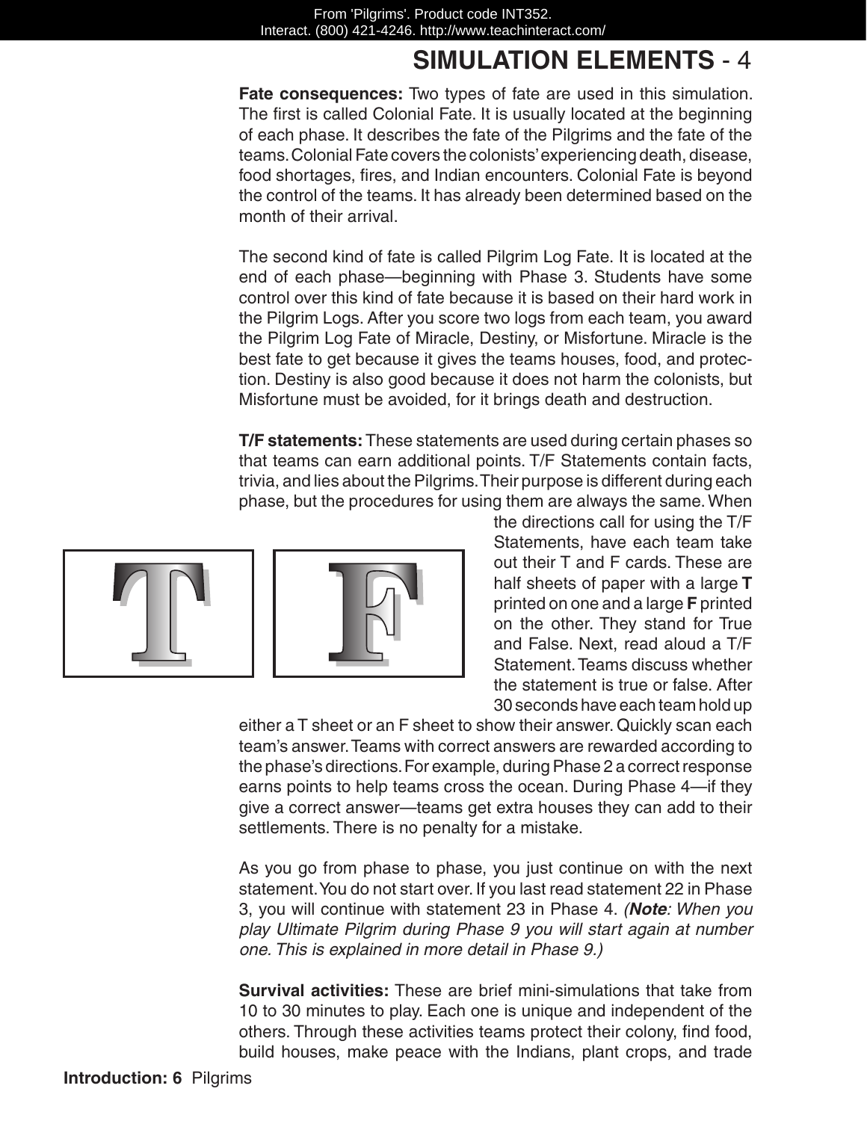**Fate consequences:** Two types of fate are used in this simulation. The first is called Colonial Fate. It is usually located at the beginning of each phase. It describes the fate of the Pilgrims and the fate of the teams. Colonial Fate covers the colonists' experiencing death, disease, food shortages, fires, and Indian encounters. Colonial Fate is beyond the control of the teams. It has already been determined based on the month of their arrival.

The second kind of fate is called Pilgrim Log Fate. It is located at the end of each phase—beginning with Phase 3. Students have some control over this kind of fate because it is based on their hard work in the Pilgrim Logs. After you score two logs from each team, you award the Pilgrim Log Fate of Miracle, Destiny, or Misfortune. Miracle is the best fate to get because it gives the teams houses, food, and protection. Destiny is also good because it does not harm the colonists, but Misfortune must be avoided, for it brings death and destruction.

**T/F statements:** These statements are used during certain phases so that teams can earn additional points. T/F Statements contain facts, trivia, and lies about the Pilgrims. Their purpose is different during each phase, but the procedures for using them are always the same. When



the directions call for using the T/F Statements, have each team take out their T and F cards. These are half sheets of paper with a large **T** printed on one and a large **F** printed on the other. They stand for True and False. Next, read aloud a T/F Statement. Teams discuss whether the statement is true or false. After 30 seconds have each team hold up

either a T sheet or an F sheet to show their answer. Quickly scan each team's answer. Teams with correct answers are rewarded according to the phase's directions. For example, during Phase 2 a correct response earns points to help teams cross the ocean. During Phase 4—if they give a correct answer—teams get extra houses they can add to their settlements. There is no penalty for a mistake.

As you go from phase to phase, you just continue on with the next statement. You do not start over. If you last read statement 22 in Phase 3, you will continue with statement 23 in Phase 4. *(Note: When you play Ultimate Pilgrim during Phase 9 you will start again at number one. This is explained in more detail in Phase 9.)*

**Survival activities:** These are brief mini-simulations that take from 10 to 30 minutes to play. Each one is unique and independent of the others. Through these activities teams protect their colony, find food, build houses, make peace with the Indians, plant crops, and trade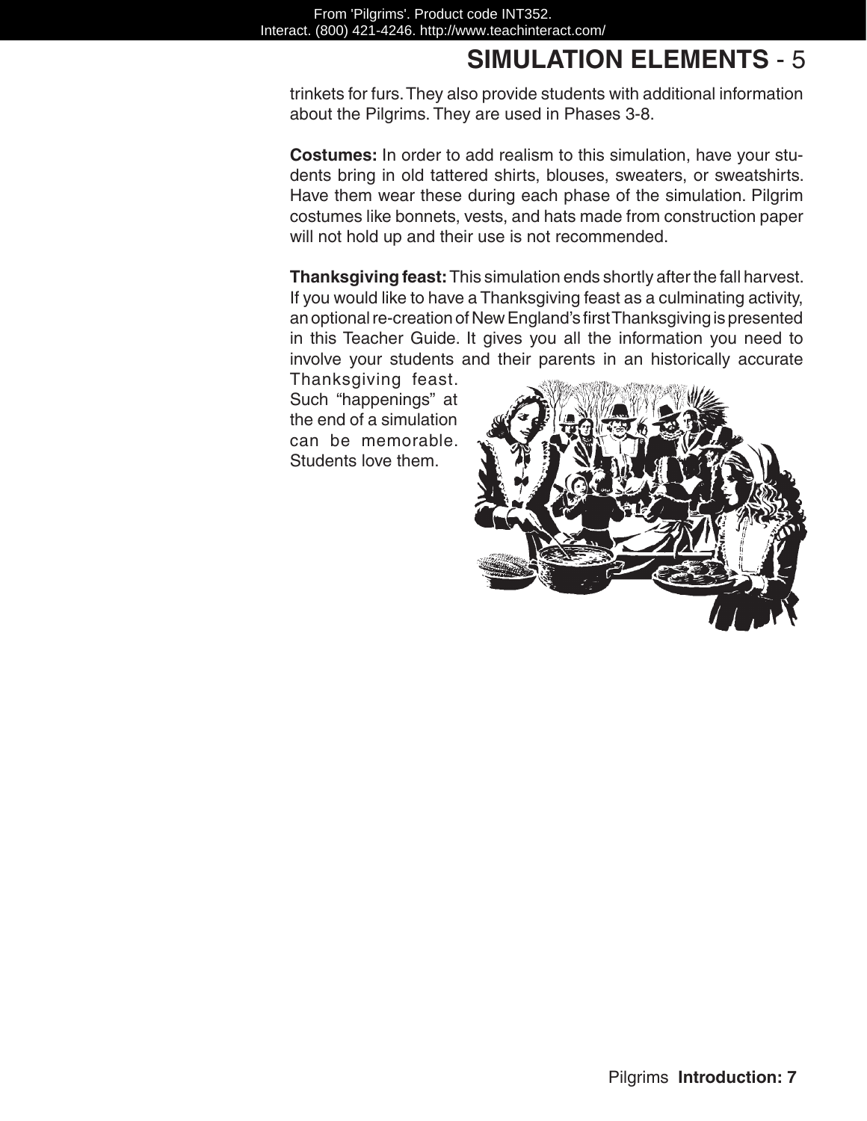trinkets for furs. They also provide students with additional information about the Pilgrims. They are used in Phases 3-8.

**Costumes:** In order to add realism to this simulation, have your students bring in old tattered shirts, blouses, sweaters, or sweatshirts. Have them wear these during each phase of the simulation. Pilgrim costumes like bonnets, vests, and hats made from construction paper will not hold up and their use is not recommended.

**Thanksgiving feast:**This simulation ends shortly after the fall harvest. If you would like to have a Thanksgiving feast as a culminating activity, an optional re-creation of New England's first Thanksgiving is presented in this Teacher Guide. It gives you all the information you need to involve your students and their parents in an historically accurate

Thanksgiving feast. Such "happenings" at the end of a simulation can be memorable. Students love them.

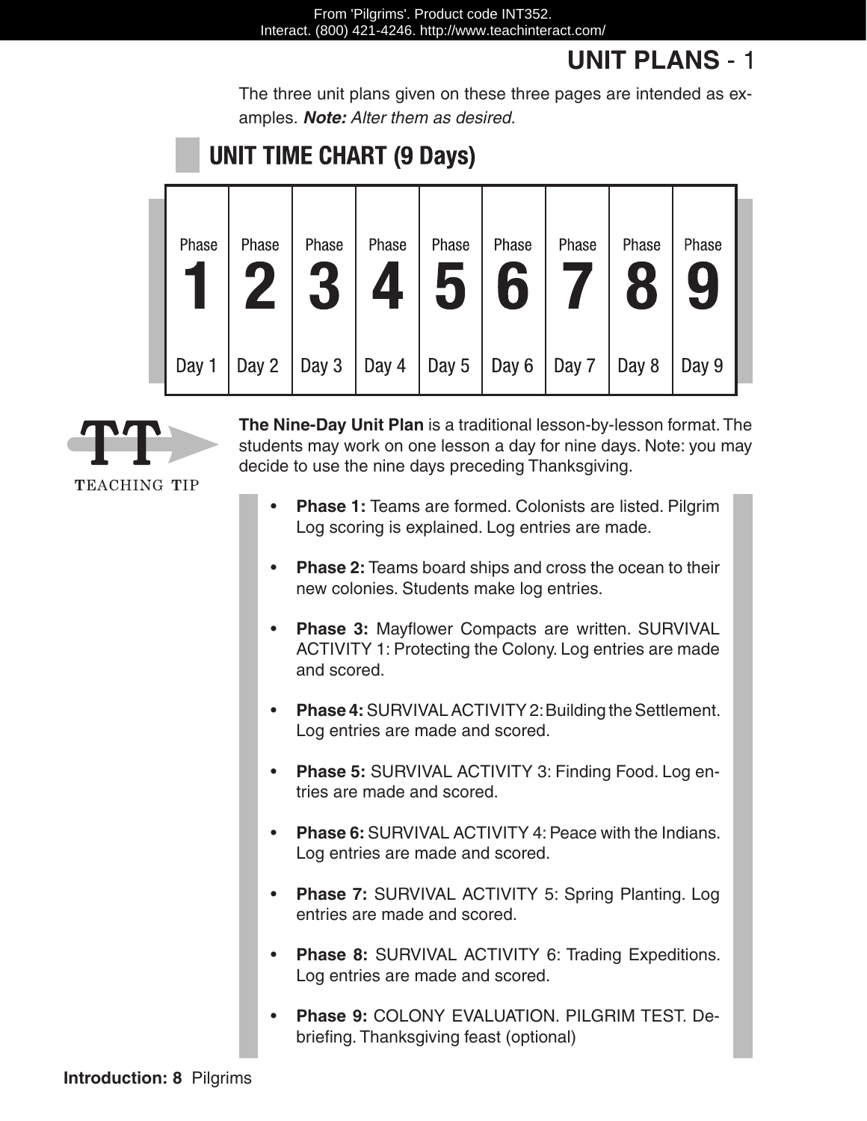## **UNIT PLANS** - 1

The three unit plans given on these three pages are intended as examples. *Note: Alter them as desired.*

## **UNIT TIME CHART (9 Days)**

| Phase | Phase | Phase | Phase | Phase<br>5 | Phase | Phase | Phase | Phase |
|-------|-------|-------|-------|------------|-------|-------|-------|-------|
| Day 1 | Day 2 | Day 3 | Day 4 | Day 5      | Day 6 | Day 7 | Day 8 | Day 9 |



TEACHING TIP

**The Nine-Day Unit Plan** is a traditional lesson-by-lesson format. The students may work on one lesson a day for nine days. Note: you may decide to use the nine days preceding Thanksgiving.

- **Phase 1:** Teams are formed. Colonists are listed. Pilgrim Log scoring is explained. Log entries are made.
- **Phase 2:** Teams board ships and cross the ocean to their new colonies. Students make log entries.
- Phase 3: Mayflower Compacts are written. SURVIVAL ACTIVITY 1: Protecting the Colony. Log entries are made and scored.
- Phase 4: SURVIVAL ACTIVITY 2: Building the Settlement. Log entries are made and scored.
- Phase 5: SURVIVAL ACTIVITY 3: Finding Food. Log entries are made and scored.
- Phase 6: SURVIVAL ACTIVITY 4: Peace with the Indians. Log entries are made and scored.
- **Phase 7: SURVIVAL ACTIVITY 5: Spring Planting. Log** entries are made and scored.
- Phase 8: SURVIVAL ACTIVITY 6: Trading Expeditions. Log entries are made and scored.
- • **Phase 9:** COLONY EVALUATION. PILGRIM TEST. Debriefing. Thanksgiving feast (optional)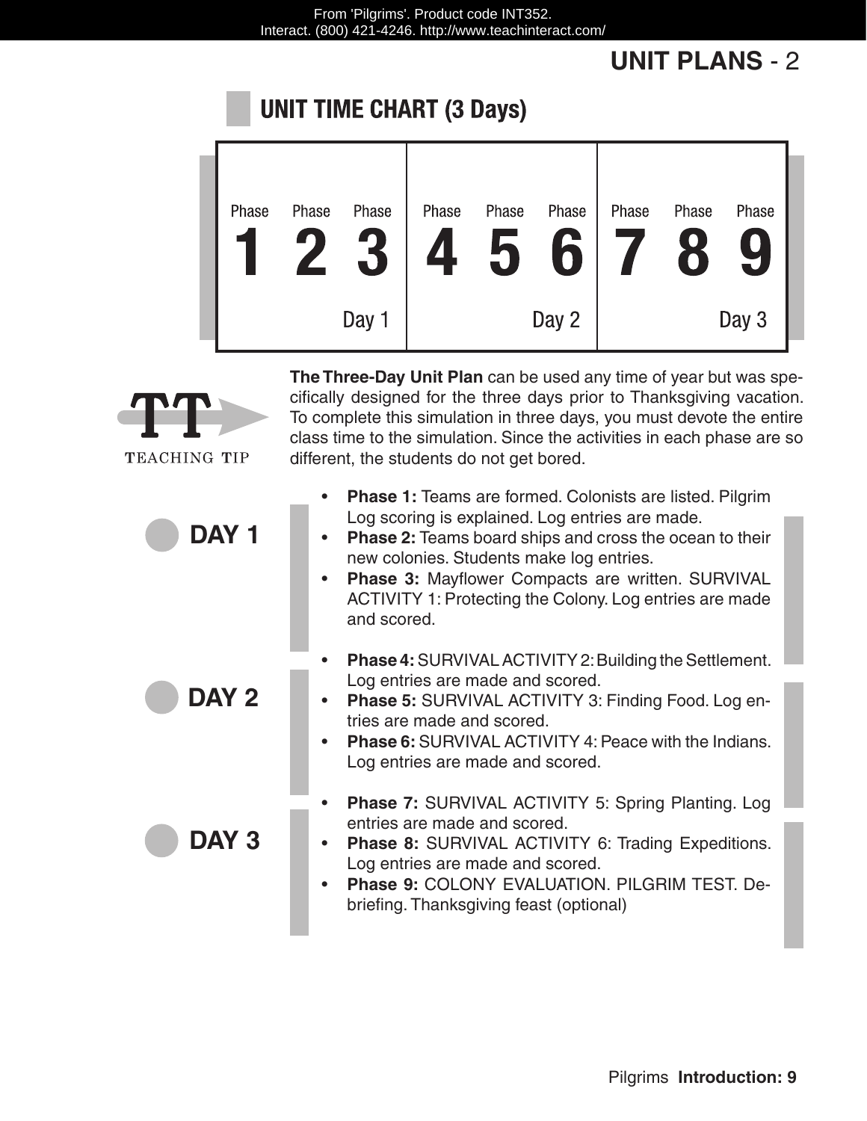## **UNIT PLANS** - 2

#### **UNIT TIME CHART (3 Days)**